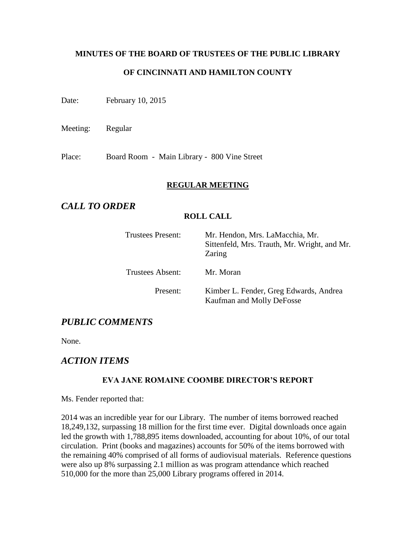# **MINUTES OF THE BOARD OF TRUSTEES OF THE PUBLIC LIBRARY OF CINCINNATI AND HAMILTON COUNTY**

Date: February 10, 2015

Meeting: Regular

Place: Board Room - Main Library - 800 Vine Street

#### **REGULAR MEETING**

# *CALL TO ORDER*

#### **ROLL CALL**

| <b>Trustees Present:</b> | Mr. Hendon, Mrs. LaMacchia, Mr.<br>Sittenfeld, Mrs. Trauth, Mr. Wright, and Mr.<br>Zaring |
|--------------------------|-------------------------------------------------------------------------------------------|
| Trustees Absent:         | Mr. Moran                                                                                 |
| Present:                 | Kimber L. Fender, Greg Edwards, Andrea<br>Kaufman and Molly DeFosse                       |

# *PUBLIC COMMENTS*

None.

# *ACTION ITEMS*

# **EVA JANE ROMAINE COOMBE DIRECTOR'S REPORT**

Ms. Fender reported that:

2014 was an incredible year for our Library. The number of items borrowed reached 18,249,132, surpassing 18 million for the first time ever. Digital downloads once again led the growth with 1,788,895 items downloaded, accounting for about 10%, of our total circulation. Print (books and magazines) accounts for 50% of the items borrowed with the remaining 40% comprised of all forms of audiovisual materials. Reference questions were also up 8% surpassing 2.1 million as was program attendance which reached 510,000 for the more than 25,000 Library programs offered in 2014.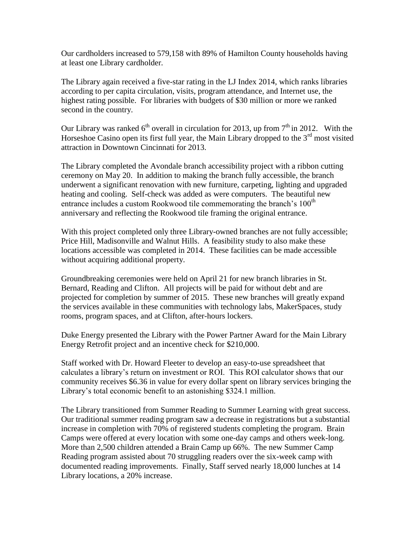Our cardholders increased to 579,158 with 89% of Hamilton County households having at least one Library cardholder.

The Library again received a five-star rating in the LJ Index 2014, which ranks libraries according to per capita circulation, visits, program attendance, and Internet use, the highest rating possible. For libraries with budgets of \$30 million or more we ranked second in the country.

Our Library was ranked  $6<sup>th</sup>$  overall in circulation for 2013, up from  $7<sup>th</sup>$  in 2012. With the Horseshoe Casino open its first full year, the Main Library dropped to the  $3<sup>rd</sup>$  most visited attraction in Downtown Cincinnati for 2013.

The Library completed the Avondale branch accessibility project with a ribbon cutting ceremony on May 20. In addition to making the branch fully accessible, the branch underwent a significant renovation with new furniture, carpeting, lighting and upgraded heating and cooling. Self-check was added as were computers. The beautiful new entrance includes a custom Rookwood tile commemorating the branch's  $100<sup>th</sup>$ anniversary and reflecting the Rookwood tile framing the original entrance.

With this project completed only three Library-owned branches are not fully accessible; Price Hill, Madisonville and Walnut Hills. A feasibility study to also make these locations accessible was completed in 2014. These facilities can be made accessible without acquiring additional property.

Groundbreaking ceremonies were held on April 21 for new branch libraries in St. Bernard, Reading and Clifton. All projects will be paid for without debt and are projected for completion by summer of 2015. These new branches will greatly expand the services available in these communities with technology labs, MakerSpaces, study rooms, program spaces, and at Clifton, after-hours lockers.

Duke Energy presented the Library with the Power Partner Award for the Main Library Energy Retrofit project and an incentive check for \$210,000.

Staff worked with Dr. Howard Fleeter to develop an easy-to-use spreadsheet that calculates a library's return on investment or ROI. This ROI calculator shows that our community receives \$6.36 in value for every dollar spent on library services bringing the Library's total economic benefit to an astonishing \$324.1 million.

The Library transitioned from Summer Reading to Summer Learning with great success. Our traditional summer reading program saw a decrease in registrations but a substantial increase in completion with 70% of registered students completing the program. Brain Camps were offered at every location with some one-day camps and others week-long. More than 2,500 children attended a Brain Camp up 66%. The new Summer Camp Reading program assisted about 70 struggling readers over the six-week camp with documented reading improvements. Finally, Staff served nearly 18,000 lunches at 14 Library locations, a 20% increase.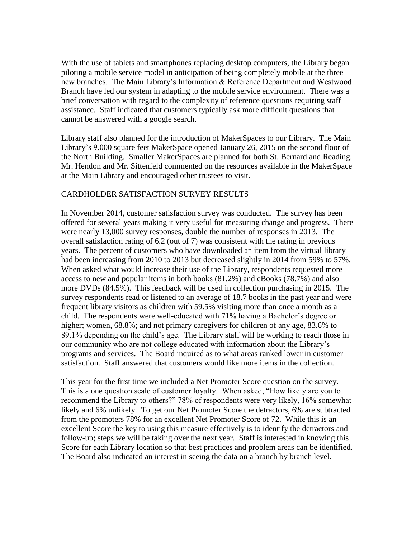With the use of tablets and smartphones replacing desktop computers, the Library began piloting a mobile service model in anticipation of being completely mobile at the three new branches. The Main Library's Information & Reference Department and Westwood Branch have led our system in adapting to the mobile service environment. There was a brief conversation with regard to the complexity of reference questions requiring staff assistance. Staff indicated that customers typically ask more difficult questions that cannot be answered with a google search.

Library staff also planned for the introduction of MakerSpaces to our Library. The Main Library's 9,000 square feet MakerSpace opened January 26, 2015 on the second floor of the North Building. Smaller MakerSpaces are planned for both St. Bernard and Reading. Mr. Hendon and Mr. Sittenfeld commented on the resources available in the MakerSpace at the Main Library and encouraged other trustees to visit.

#### CARDHOLDER SATISFACTION SURVEY RESULTS

In November 2014, customer satisfaction survey was conducted. The survey has been offered for several years making it very useful for measuring change and progress. There were nearly 13,000 survey responses, double the number of responses in 2013. The overall satisfaction rating of 6.2 (out of 7) was consistent with the rating in previous years. The percent of customers who have downloaded an item from the virtual library had been increasing from 2010 to 2013 but decreased slightly in 2014 from 59% to 57%. When asked what would increase their use of the Library, respondents requested more access to new and popular items in both books (81.2%) and eBooks (78.7%) and also more DVDs (84.5%). This feedback will be used in collection purchasing in 2015. The survey respondents read or listened to an average of 18.7 books in the past year and were frequent library visitors as children with 59.5% visiting more than once a month as a child. The respondents were well-educated with 71% having a Bachelor's degree or higher; women, 68.8%; and not primary caregivers for children of any age, 83.6% to 89.1% depending on the child's age. The Library staff will be working to reach those in our community who are not college educated with information about the Library's programs and services. The Board inquired as to what areas ranked lower in customer satisfaction. Staff answered that customers would like more items in the collection.

This year for the first time we included a Net Promoter Score question on the survey. This is a one question scale of customer loyalty. When asked, "How likely are you to recommend the Library to others?" 78% of respondents were very likely, 16% somewhat likely and 6% unlikely. To get our Net Promoter Score the detractors, 6% are subtracted from the promoters 78% for an excellent Net Promoter Score of 72. While this is an excellent Score the key to using this measure effectively is to identify the detractors and follow-up; steps we will be taking over the next year. Staff is interested in knowing this Score for each Library location so that best practices and problem areas can be identified. The Board also indicated an interest in seeing the data on a branch by branch level.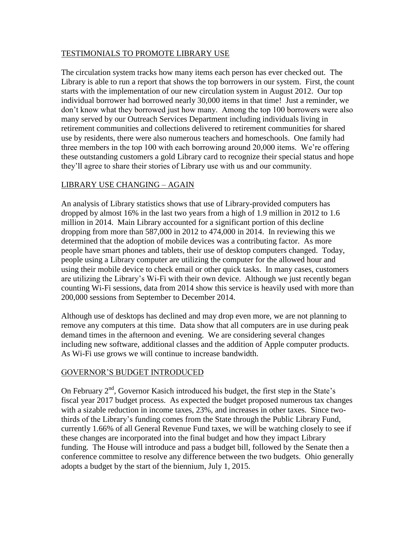#### TESTIMONIALS TO PROMOTE LIBRARY USE

The circulation system tracks how many items each person has ever checked out. The Library is able to run a report that shows the top borrowers in our system. First, the count starts with the implementation of our new circulation system in August 2012. Our top individual borrower had borrowed nearly 30,000 items in that time! Just a reminder, we don't know what they borrowed just how many. Among the top 100 borrowers were also many served by our Outreach Services Department including individuals living in retirement communities and collections delivered to retirement communities for shared use by residents, there were also numerous teachers and homeschools. One family had three members in the top 100 with each borrowing around 20,000 items. We're offering these outstanding customers a gold Library card to recognize their special status and hope they'll agree to share their stories of Library use with us and our community.

# LIBRARY USE CHANGING – AGAIN

An analysis of Library statistics shows that use of Library-provided computers has dropped by almost 16% in the last two years from a high of 1.9 million in 2012 to 1.6 million in 2014. Main Library accounted for a significant portion of this decline dropping from more than 587,000 in 2012 to 474,000 in 2014. In reviewing this we determined that the adoption of mobile devices was a contributing factor. As more people have smart phones and tablets, their use of desktop computers changed. Today, people using a Library computer are utilizing the computer for the allowed hour and using their mobile device to check email or other quick tasks. In many cases, customers are utilizing the Library's Wi-Fi with their own device. Although we just recently began counting Wi-Fi sessions, data from 2014 show this service is heavily used with more than 200,000 sessions from September to December 2014.

Although use of desktops has declined and may drop even more, we are not planning to remove any computers at this time. Data show that all computers are in use during peak demand times in the afternoon and evening. We are considering several changes including new software, additional classes and the addition of Apple computer products. As Wi-Fi use grows we will continue to increase bandwidth.

# GOVERNOR'S BUDGET INTRODUCED

On February  $2<sup>nd</sup>$ , Governor Kasich introduced his budget, the first step in the State's fiscal year 2017 budget process. As expected the budget proposed numerous tax changes with a sizable reduction in income taxes, 23%, and increases in other taxes. Since twothirds of the Library's funding comes from the State through the Public Library Fund, currently 1.66% of all General Revenue Fund taxes, we will be watching closely to see if these changes are incorporated into the final budget and how they impact Library funding. The House will introduce and pass a budget bill, followed by the Senate then a conference committee to resolve any difference between the two budgets. Ohio generally adopts a budget by the start of the biennium, July 1, 2015.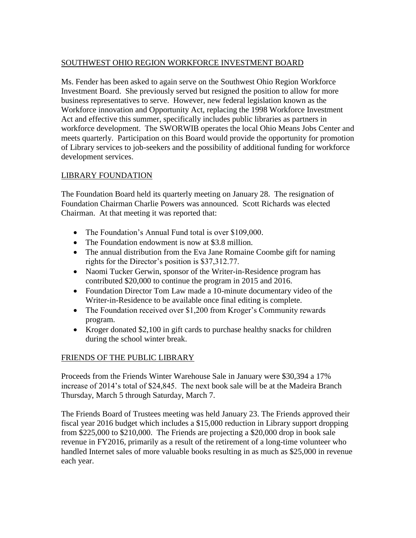# SOUTHWEST OHIO REGION WORKFORCE INVESTMENT BOARD

Ms. Fender has been asked to again serve on the Southwest Ohio Region Workforce Investment Board. She previously served but resigned the position to allow for more business representatives to serve. However, new federal legislation known as the Workforce innovation and Opportunity Act, replacing the 1998 Workforce Investment Act and effective this summer, specifically includes public libraries as partners in workforce development. The SWORWIB operates the local Ohio Means Jobs Center and meets quarterly. Participation on this Board would provide the opportunity for promotion of Library services to job-seekers and the possibility of additional funding for workforce development services.

# LIBRARY FOUNDATION

The Foundation Board held its quarterly meeting on January 28. The resignation of Foundation Chairman Charlie Powers was announced. Scott Richards was elected Chairman. At that meeting it was reported that:

- The Foundation's Annual Fund total is over \$109,000.
- The Foundation endowment is now at \$3.8 million.
- The annual distribution from the Eva Jane Romaine Coombe gift for naming rights for the Director's position is \$37,312.77.
- Naomi Tucker Gerwin, sponsor of the Writer-in-Residence program has contributed \$20,000 to continue the program in 2015 and 2016.
- Foundation Director Tom Law made a 10-minute documentary video of the Writer-in-Residence to be available once final editing is complete.
- The Foundation received over \$1,200 from Kroger's Community rewards program.
- Kroger donated \$2,100 in gift cards to purchase healthy snacks for children during the school winter break.

# FRIENDS OF THE PUBLIC LIBRARY

Proceeds from the Friends Winter Warehouse Sale in January were \$30,394 a 17% increase of 2014's total of \$24,845. The next book sale will be at the Madeira Branch Thursday, March 5 through Saturday, March 7.

The Friends Board of Trustees meeting was held January 23. The Friends approved their fiscal year 2016 budget which includes a \$15,000 reduction in Library support dropping from \$225,000 to \$210,000. The Friends are projecting a \$20,000 drop in book sale revenue in FY2016, primarily as a result of the retirement of a long-time volunteer who handled Internet sales of more valuable books resulting in as much as \$25,000 in revenue each year.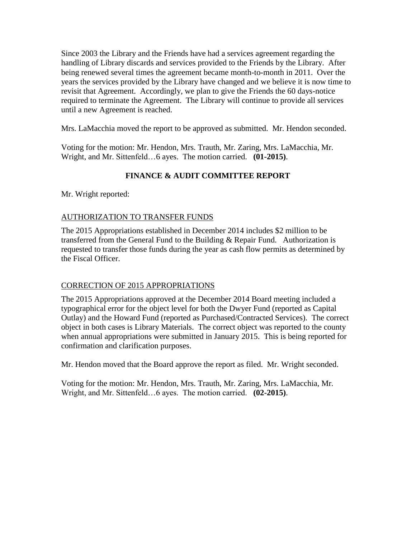Since 2003 the Library and the Friends have had a services agreement regarding the handling of Library discards and services provided to the Friends by the Library. After being renewed several times the agreement became month-to-month in 2011. Over the years the services provided by the Library have changed and we believe it is now time to revisit that Agreement. Accordingly, we plan to give the Friends the 60 days-notice required to terminate the Agreement. The Library will continue to provide all services until a new Agreement is reached.

Mrs. LaMacchia moved the report to be approved as submitted. Mr. Hendon seconded.

Voting for the motion: Mr. Hendon, Mrs. Trauth, Mr. Zaring, Mrs. LaMacchia, Mr. Wright, and Mr. Sittenfeld…6 ayes. The motion carried. **(01-2015)**.

# **FINANCE & AUDIT COMMITTEE REPORT**

Mr. Wright reported:

#### AUTHORIZATION TO TRANSFER FUNDS

The 2015 Appropriations established in December 2014 includes \$2 million to be transferred from the General Fund to the Building  $&$  Repair Fund. Authorization is requested to transfer those funds during the year as cash flow permits as determined by the Fiscal Officer.

# CORRECTION OF 2015 APPROPRIATIONS

The 2015 Appropriations approved at the December 2014 Board meeting included a typographical error for the object level for both the Dwyer Fund (reported as Capital Outlay) and the Howard Fund (reported as Purchased/Contracted Services). The correct object in both cases is Library Materials. The correct object was reported to the county when annual appropriations were submitted in January 2015. This is being reported for confirmation and clarification purposes.

Mr. Hendon moved that the Board approve the report as filed. Mr. Wright seconded.

Voting for the motion: Mr. Hendon, Mrs. Trauth, Mr. Zaring, Mrs. LaMacchia, Mr. Wright, and Mr. Sittenfeld…6 ayes. The motion carried. **(02-2015)**.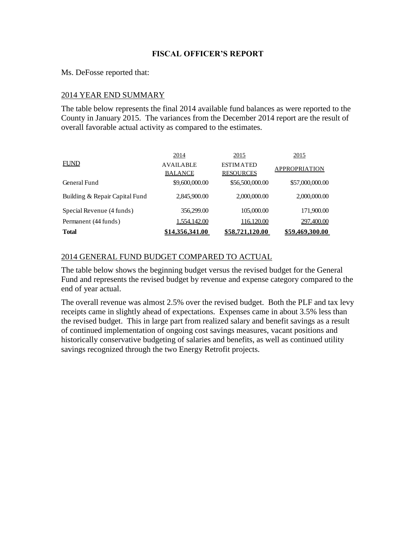#### **FISCAL OFFICER'S REPORT**

Ms. DeFosse reported that:

#### 2014 YEAR END SUMMARY

The table below represents the final 2014 available fund balances as were reported to the County in January 2015. The variances from the December 2014 report are the result of overall favorable actual activity as compared to the estimates.

|                                | 2014             | 2015             | 2015                 |
|--------------------------------|------------------|------------------|----------------------|
| <b>FUND</b>                    | <b>AVAILABLE</b> | <b>ESTIMATED</b> | <b>APPROPRIATION</b> |
|                                | <b>BALANCE</b>   | <b>RESOURCES</b> |                      |
| General Fund                   | \$9,600,000.00   | \$56,500,000.00  | \$57,000,000.00      |
| Building & Repair Capital Fund | 2,845,900.00     | 2,000,000.00     | 2,000,000.00         |
| Special Revenue (4 funds)      | 356,299.00       | 105,000.00       | 171,900.00           |
| Permanent (44 funds)           | 1,554,142.00     | 116,120.00       | 297,400.00           |
| <b>Total</b>                   | \$14.356.341.00  | \$58,721,120.00  | \$59,469,300.00      |

#### 2014 GENERAL FUND BUDGET COMPARED TO ACTUAL

The table below shows the beginning budget versus the revised budget for the General Fund and represents the revised budget by revenue and expense category compared to the end of year actual.

The overall revenue was almost 2.5% over the revised budget. Both the PLF and tax levy receipts came in slightly ahead of expectations. Expenses came in about 3.5% less than the revised budget. This in large part from realized salary and benefit savings as a result of continued implementation of ongoing cost savings measures, vacant positions and historically conservative budgeting of salaries and benefits, as well as continued utility savings recognized through the two Energy Retrofit projects.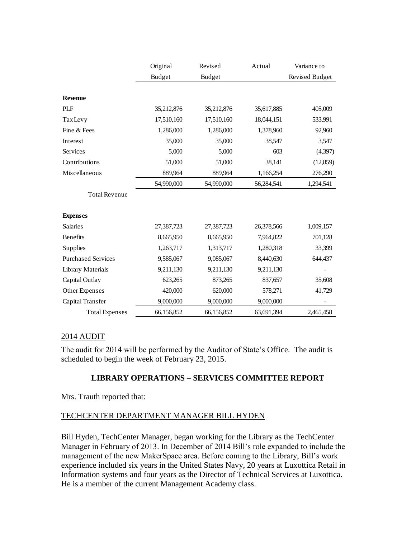|                           | Original   | Revised    | Actual     | Variance to    |
|---------------------------|------------|------------|------------|----------------|
|                           | Budget     | Budget     |            | Revised Budget |
|                           |            |            |            |                |
| <b>Revenue</b>            |            |            |            |                |
| PLF                       | 35,212,876 | 35,212,876 | 35,617,885 | 405,009        |
| <b>TaxLevy</b>            | 17,510,160 | 17,510,160 | 18,044,151 | 533,991        |
| Fine & Fees               | 1,286,000  | 1,286,000  | 1,378,960  | 92,960         |
| Interest                  | 35,000     | 35,000     | 38,547     | 3,547          |
| Services                  | 5,000      | 5,000      | 603        | (4, 397)       |
| Contributions             | 51,000     | 51,000     | 38,141     | (12, 859)      |
| Miscellaneous             | 889,964    | 889,964    | 1,166,254  | 276,290        |
|                           | 54,990,000 | 54,990,000 | 56,284,541 | 1,294,541      |
| <b>Total Revenue</b>      |            |            |            |                |
|                           |            |            |            |                |
| <b>Expenses</b>           |            |            |            |                |
| <b>Salaries</b>           | 27,387,723 | 27,387,723 | 26,378,566 | 1,009,157      |
| Benefits                  | 8,665,950  | 8,665,950  | 7,964,822  | 701,128        |
| Supplies                  | 1,263,717  | 1,313,717  | 1,280,318  | 33,399         |
| <b>Purchased Services</b> | 9,585,067  | 9,085,067  | 8,440,630  | 644,437        |
| <b>Library Materials</b>  | 9,211,130  | 9,211,130  | 9,211,130  |                |
| Capital Outlay            | 623,265    | 873,265    | 837,657    | 35,608         |
| Other Expenses            | 420,000    | 620,000    | 578,271    | 41,729         |
| Capital Transfer          | 9,000,000  | 9,000,000  | 9,000,000  |                |
| <b>Total Expenses</b>     | 66,156,852 | 66,156,852 | 63,691,394 | 2,465,458      |

#### 2014 AUDIT

The audit for 2014 will be performed by the Auditor of State's Office. The audit is scheduled to begin the week of February 23, 2015.

# **LIBRARY OPERATIONS – SERVICES COMMITTEE REPORT**

Mrs. Trauth reported that:

# TECHCENTER DEPARTMENT MANAGER BILL HYDEN

Bill Hyden, TechCenter Manager, began working for the Library as the TechCenter Manager in February of 2013. In December of 2014 Bill's role expanded to include the management of the new MakerSpace area. Before coming to the Library, Bill's work experience included six years in the United States Navy, 20 years at Luxottica Retail in Information systems and four years as the Director of Technical Services at Luxottica. He is a member of the current Management Academy class.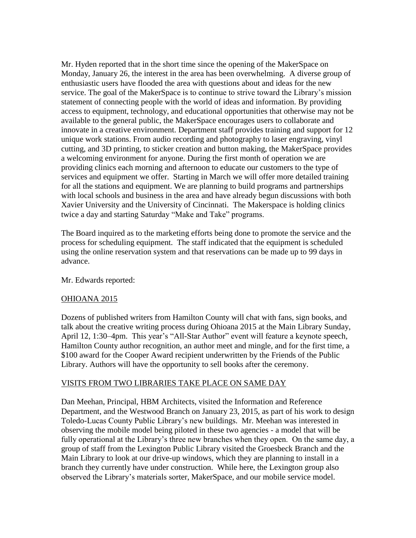Mr. Hyden reported that in the short time since the opening of the MakerSpace on Monday, January 26, the interest in the area has been overwhelming. A diverse group of enthusiastic users have flooded the area with questions about and ideas for the new service. The goal of the MakerSpace is to continue to strive toward the Library's mission statement of connecting people with the world of ideas and information. By providing access to equipment, technology, and educational opportunities that otherwise may not be available to the general public, the MakerSpace encourages users to collaborate and innovate in a creative environment. Department staff provides training and support for 12 unique work stations. From audio recording and photography to laser engraving, vinyl cutting, and 3D printing, to sticker creation and button making, the MakerSpace provides a welcoming environment for anyone. During the first month of operation we are providing clinics each morning and afternoon to educate our customers to the type of services and equipment we offer. Starting in March we will offer more detailed training for all the stations and equipment. We are planning to build programs and partnerships with local schools and business in the area and have already begun discussions with both Xavier University and the University of Cincinnati. The Makerspace is holding clinics twice a day and starting Saturday "Make and Take" programs.

The Board inquired as to the marketing efforts being done to promote the service and the process for scheduling equipment. The staff indicated that the equipment is scheduled using the online reservation system and that reservations can be made up to 99 days in advance.

Mr. Edwards reported:

#### OHIOANA 2015

Dozens of published writers from Hamilton County will chat with fans, sign books, and talk about the creative writing process during Ohioana 2015 at the Main Library Sunday, April 12, 1:30–4pm. This year's "All-Star Author" event will feature a keynote speech, Hamilton County author recognition, an author meet and mingle, and for the first time, a \$100 award for the Cooper Award recipient underwritten by the Friends of the Public Library. Authors will have the opportunity to sell books after the ceremony.

# VISITS FROM TWO LIBRARIES TAKE PLACE ON SAME DAY

Dan Meehan, Principal, HBM Architects, visited the Information and Reference Department, and the Westwood Branch on January 23, 2015, as part of his work to design Toledo-Lucas County Public Library's new buildings. Mr. Meehan was interested in observing the mobile model being piloted in these two agencies - a model that will be fully operational at the Library's three new branches when they open. On the same day, a group of staff from the Lexington Public Library visited the Groesbeck Branch and the Main Library to look at our drive-up windows, which they are planning to install in a branch they currently have under construction. While here, the Lexington group also observed the Library's materials sorter, MakerSpace, and our mobile service model.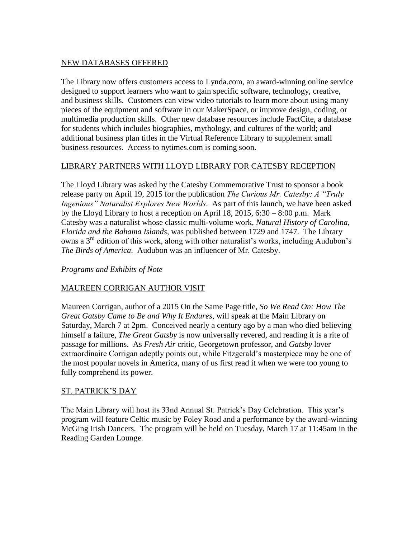#### NEW DATABASES OFFERED

The Library now offers customers access to Lynda.com, an award-winning online service designed to support learners who want to gain specific software, technology, creative, and business skills. Customers can view video tutorials to learn more about using many pieces of the equipment and software in our MakerSpace, or improve design, coding, or multimedia production skills. Other new database resources include FactCite, a database for students which includes biographies, mythology, and cultures of the world; and additional business plan titles in the Virtual Reference Library to supplement small business resources. Access to nytimes.com is coming soon.

#### LIBRARY PARTNERS WITH LLOYD LIBRARY FOR CATESBY RECEPTION

The Lloyd Library was asked by the Catesby Commemorative Trust to sponsor a book release party on April 19, 2015 for the publication *The Curious Mr. Catesby: A "Truly Ingenious" Naturalist Explores New Worlds*. As part of this launch, we have been asked by the Lloyd Library to host a reception on April 18,  $2015$ ,  $6:30 - 8:00$  p.m. Mark Catesby was a naturalist whose classic multi-volume work, *Natural History of Carolina, Florida and the Bahama Islands,* was published between 1729 and 1747. The Library owns a 3rd edition of this work, along with other naturalist's works, including Audubon's *The Birds of America*. Audubon was an influencer of Mr. Catesby.

#### *Programs and Exhibits of Note*

# MAUREEN CORRIGAN AUTHOR VISIT

Maureen Corrigan, author of a 2015 On the Same Page title, *So We Read On: How The Great Gatsby Came to Be and Why It Endures*, will speak at the Main Library on Saturday, March 7 at 2pm. Conceived nearly a century ago by a man who died believing himself a failure, *The Great Gatsby* is now universally revered, and reading it is a rite of passage for millions. As *Fresh Air* critic, Georgetown professor, and *Gatsby* lover extraordinaire Corrigan adeptly points out, while Fitzgerald's masterpiece may be one of the most popular novels in America, many of us first read it when we were too young to fully comprehend its power.

#### ST. PATRICK'S DAY

The Main Library will host its 33nd Annual St. Patrick's Day Celebration. This year's program will feature Celtic music by Foley Road and a performance by the award-winning McGing Irish Dancers. The program will be held on Tuesday, March 17 at 11:45am in the Reading Garden Lounge.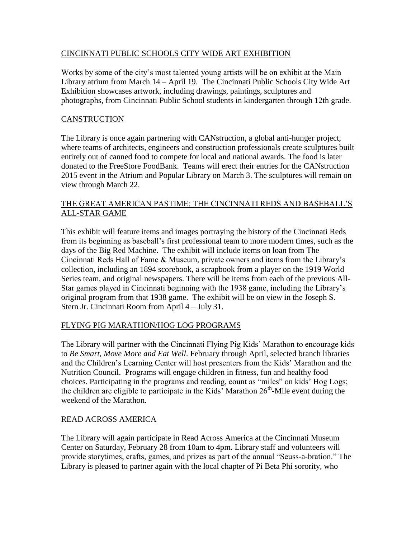# CINCINNATI PUBLIC SCHOOLS CITY WIDE ART EXHIBITION

Works by some of the city's most talented young artists will be on exhibit at the Main Library atrium from March 14 – April 19. The Cincinnati Public Schools City Wide Art Exhibition showcases artwork, including drawings, paintings, sculptures and photographs, from Cincinnati Public School students in kindergarten through 12th grade.

# **CANSTRUCTION**

The Library is once again partnering with CANstruction, a global anti-hunger project, where teams of architects, engineers and construction professionals create sculptures built entirely out of canned food to compete for local and national awards. The food is later donated to the FreeStore FoodBank. Teams will erect their entries for the CANstruction 2015 event in the Atrium and Popular Library on March 3. The sculptures will remain on view through March 22.

#### THE GREAT AMERICAN PASTIME: THE CINCINNATI REDS AND BASEBALL'S ALL-STAR GAME

This exhibit will feature items and images portraying the history of the Cincinnati Reds from its beginning as baseball's first professional team to more modern times, such as the days of the Big Red Machine. The exhibit will include items on loan from The Cincinnati Reds Hall of Fame & Museum, private owners and items from the Library's collection, including an 1894 scorebook, a scrapbook from a player on the 1919 World Series team, and original newspapers. There will be items from each of the previous All-Star games played in Cincinnati beginning with the 1938 game, including the Library's original program from that 1938 game. The exhibit will be on view in the Joseph S. Stern Jr. Cincinnati Room from April 4 – July 31.

# FLYING PIG MARATHON/HOG LOG PROGRAMS

The Library will partner with the Cincinnati Flying Pig Kids' Marathon to encourage kids to *Be Smart, Move More and Eat Well*. February through April, selected branch libraries and the Children's Learning Center will host presenters from the Kids' Marathon and the Nutrition Council. Programs will engage children in fitness, fun and healthy food choices. Participating in the programs and reading, count as "miles" on kids' Hog Logs; the children are eligible to participate in the Kids' Marathon  $26<sup>th</sup>$ -Mile event during the weekend of the Marathon.

# READ ACROSS AMERICA

The Library will again participate in Read Across America at the Cincinnati Museum Center on Saturday, February 28 from 10am to 4pm. Library staff and volunteers will provide storytimes, crafts, games, and prizes as part of the annual "Seuss-a-bration." The Library is pleased to partner again with the local chapter of Pi Beta Phi sorority, who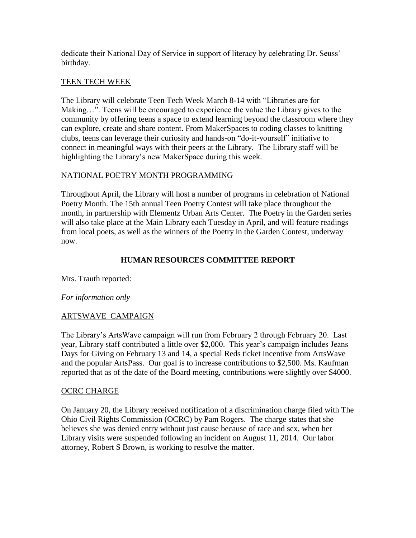dedicate their National Day of Service in support of literacy by celebrating Dr. Seuss' birthday.

#### TEEN TECH WEEK

The Library will celebrate Teen Tech Week March 8-14 with "Libraries are for Making…". Teens will be encouraged to experience the value the Library gives to the community by offering teens a space to extend learning beyond the classroom where they can explore, create and share content. From MakerSpaces to coding classes to knitting clubs, teens can leverage their curiosity and hands-on "do-it-yourself" initiative to connect in meaningful ways with their peers at the Library. The Library staff will be highlighting the Library's new MakerSpace during this week.

# NATIONAL POETRY MONTH PROGRAMMING

Throughout April, the Library will host a number of programs in celebration of National Poetry Month. The 15th annual Teen Poetry Contest will take place throughout the month, in partnership with Elementz Urban Arts Center. The Poetry in the Garden series will also take place at the Main Library each Tuesday in April, and will feature readings from local poets, as well as the winners of the Poetry in the Garden Contest, underway now.

# **HUMAN RESOURCES COMMITTEE REPORT**

Mrs. Trauth reported:

# *For information only*

# ARTSWAVE CAMPAIGN

The Library's ArtsWave campaign will run from February 2 through February 20. Last year, Library staff contributed a little over \$2,000. This year's campaign includes Jeans Days for Giving on February 13 and 14, a special Reds ticket incentive from ArtsWave and the popular ArtsPass. Our goal is to increase contributions to \$2,500. Ms. Kaufman reported that as of the date of the Board meeting, contributions were slightly over \$4000.

# OCRC CHARGE

On January 20, the Library received notification of a discrimination charge filed with The Ohio Civil Rights Commission (OCRC) by Pam Rogers. The charge states that she believes she was denied entry without just cause because of race and sex, when her Library visits were suspended following an incident on August 11, 2014. Our labor attorney, Robert S Brown, is working to resolve the matter.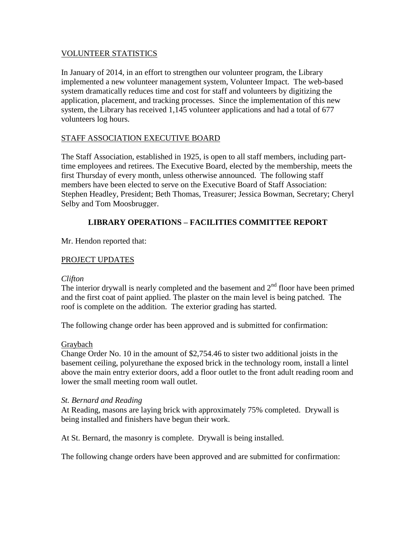#### VOLUNTEER STATISTICS

In January of 2014, in an effort to strengthen our volunteer program, the Library implemented a new volunteer management system, Volunteer Impact. The web-based system dramatically reduces time and cost for staff and volunteers by digitizing the application, placement, and tracking processes. Since the implementation of this new system, the Library has received 1,145 volunteer applications and had a total of 677 volunteers log hours.

#### STAFF ASSOCIATION EXECUTIVE BOARD

The Staff Association, established in 1925, is open to all staff members, including parttime employees and retirees. The Executive Board, elected by the membership, meets the first Thursday of every month, unless otherwise announced. The following staff members have been elected to serve on the Executive Board of Staff Association: Stephen Headley, President; Beth Thomas, Treasurer; Jessica Bowman, Secretary; Cheryl Selby and Tom Moosbrugger.

# **LIBRARY OPERATIONS – FACILITIES COMMITTEE REPORT**

Mr. Hendon reported that:

# PROJECT UPDATES

#### *Clifton*

The interior drywall is nearly completed and the basement and  $2<sup>nd</sup>$  floor have been primed and the first coat of paint applied. The plaster on the main level is being patched. The roof is complete on the addition. The exterior grading has started.

The following change order has been approved and is submitted for confirmation:

#### Graybach

Change Order No. 10 in the amount of \$2,754.46 to sister two additional joists in the basement ceiling, polyurethane the exposed brick in the technology room, install a lintel above the main entry exterior doors, add a floor outlet to the front adult reading room and lower the small meeting room wall outlet.

#### *St. Bernard and Reading*

At Reading, masons are laying brick with approximately 75% completed. Drywall is being installed and finishers have begun their work.

At St. Bernard, the masonry is complete. Drywall is being installed.

The following change orders have been approved and are submitted for confirmation: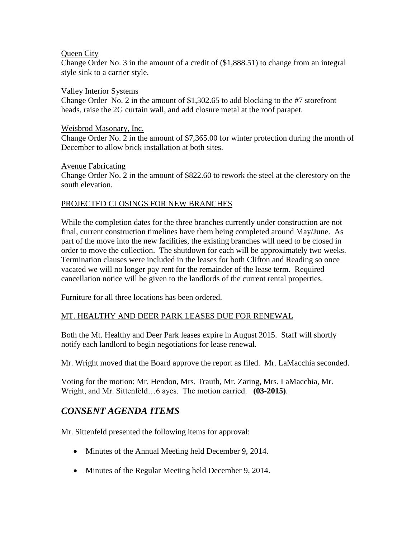#### Queen City

Change Order No. 3 in the amount of a credit of (\$1,888.51) to change from an integral style sink to a carrier style.

#### Valley Interior Systems

Change Order No. 2 in the amount of \$1,302.65 to add blocking to the #7 storefront heads, raise the 2G curtain wall, and add closure metal at the roof parapet.

#### Weisbrod Masonary, Inc.

Change Order No. 2 in the amount of \$7,365.00 for winter protection during the month of December to allow brick installation at both sites.

#### Avenue Fabricating

Change Order No. 2 in the amount of \$822.60 to rework the steel at the clerestory on the south elevation.

# PROJECTED CLOSINGS FOR NEW BRANCHES

While the completion dates for the three branches currently under construction are not final, current construction timelines have them being completed around May/June. As part of the move into the new facilities, the existing branches will need to be closed in order to move the collection. The shutdown for each will be approximately two weeks. Termination clauses were included in the leases for both Clifton and Reading so once vacated we will no longer pay rent for the remainder of the lease term. Required cancellation notice will be given to the landlords of the current rental properties.

Furniture for all three locations has been ordered.

# MT. HEALTHY AND DEER PARK LEASES DUE FOR RENEWAL

Both the Mt. Healthy and Deer Park leases expire in August 2015. Staff will shortly notify each landlord to begin negotiations for lease renewal.

Mr. Wright moved that the Board approve the report as filed. Mr. LaMacchia seconded.

Voting for the motion: Mr. Hendon, Mrs. Trauth, Mr. Zaring, Mrs. LaMacchia, Mr. Wright, and Mr. Sittenfeld…6 ayes. The motion carried. **(03-2015)**.

# *CONSENT AGENDA ITEMS*

Mr. Sittenfeld presented the following items for approval:

- Minutes of the Annual Meeting held December 9, 2014.
- Minutes of the Regular Meeting held December 9, 2014.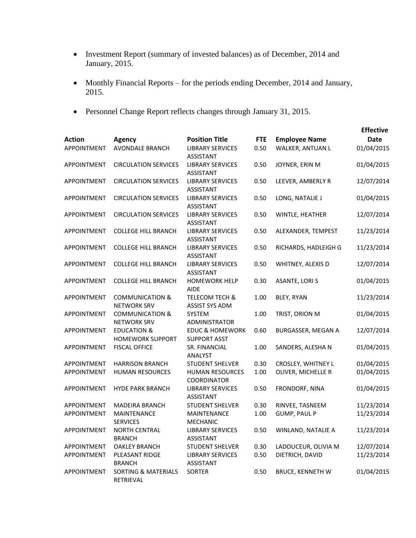- Investment Report (summary of invested balances) as of December, 2014 and January, 2015.
- Monthly Financial Reports for the periods ending December, 2014 and January, 2015.
- Personnel Change Report reflects changes through January 31, 2015.

| <b>Action</b>      | <b>Agency</b>                                     | <b>Position Title</b>                              | <b>FTE</b> | <b>Employee Name</b>    | <b>Effective</b><br><b>Date</b> |
|--------------------|---------------------------------------------------|----------------------------------------------------|------------|-------------------------|---------------------------------|
| APPOINTMENT        | AVONDALE BRANCH                                   | <b>LIBRARY SERVICES</b><br><b>ASSISTANT</b>        | 0.50       | WALKER, ANTUAN L        | 01/04/2015                      |
| APPOINTMENT        | <b>CIRCULATION SERVICES</b>                       | <b>LIBRARY SERVICES</b><br><b>ASSISTANT</b>        | 0.50       | JOYNER, ERIN M          | 01/04/2015                      |
| APPOINTMENT        | <b>CIRCULATION SERVICES</b>                       | <b>LIBRARY SERVICES</b><br><b>ASSISTANT</b>        | 0.50       | LEEVER, AMBERLY R       | 12/07/2014                      |
| APPOINTMENT        | <b>CIRCULATION SERVICES</b>                       | <b>LIBRARY SERVICES</b><br><b>ASSISTANT</b>        | 0.50       | LONG, NATALIE J         | 01/04/2015                      |
| APPOINTMENT        | <b>CIRCULATION SERVICES</b>                       | <b>LIBRARY SERVICES</b><br><b>ASSISTANT</b>        | 0.50       | WINTLE, HEATHER         | 12/07/2014                      |
| APPOINTMENT        | <b>COLLEGE HILL BRANCH</b>                        | <b>LIBRARY SERVICES</b><br><b>ASSISTANT</b>        | 0.50       | ALEXANDER, TEMPEST      | 11/23/2014                      |
| APPOINTMENT        | <b>COLLEGE HILL BRANCH</b>                        | <b>LIBRARY SERVICES</b><br><b>ASSISTANT</b>        | 0.50       | RICHARDS, HADLEIGH G    | 11/23/2014                      |
| <b>APPOINTMENT</b> | <b>COLLEGE HILL BRANCH</b>                        | <b>LIBRARY SERVICES</b><br><b>ASSISTANT</b>        | 0.50       | WHITNEY, ALEXIS D       | 12/07/2014                      |
| APPOINTMENT        | <b>COLLEGE HILL BRANCH</b>                        | <b>HOMEWORK HELP</b><br><b>AIDE</b>                | 0.30       | <b>ASANTE, LORIS</b>    | 01/04/2015                      |
| APPOINTMENT        | <b>COMMUNICATION &amp;</b><br><b>NETWORK SRV</b>  | <b>TELECOM TECH &amp;</b><br><b>ASSIST SYS ADM</b> | 1.00       | BLEY, RYAN              | 11/23/2014                      |
| <b>APPOINTMENT</b> | <b>COMMUNICATION &amp;</b><br><b>NETWORK SRV</b>  | <b>SYSTEM</b><br>ADMINISTRATOR                     | 1.00       | TRIST, ORION M          | 01/04/2015                      |
| APPOINTMENT        | <b>EDUCATION &amp;</b><br><b>HOMEWORK SUPPORT</b> | <b>EDUC &amp; HOMEWORK</b><br><b>SUPPORT ASST</b>  | 0.60       | BURGASSER, MEGAN A      | 12/07/2014                      |
| APPOINTMENT        | <b>FISCAL OFFICE</b>                              | SR. FINANCIAL<br>ANALYST                           | 1.00       | SANDERS, ALESHA N       | 01/04/2015                      |
| APPOINTMENT        | <b>HARRISON BRANCH</b>                            | <b>STUDENT SHELVER</b>                             | 0.30       | CROSLEY, WHITNEY L      | 01/04/2015                      |
| APPOINTMENT        | <b>HUMAN RESOURCES</b>                            | <b>HUMAN RESOURCES</b><br><b>COORDINATOR</b>       | 1.00       | OLIVER, MICHELLE R      | 01/04/2015                      |
| APPOINTMENT        | <b>HYDE PARK BRANCH</b>                           | <b>LIBRARY SERVICES</b><br><b>ASSISTANT</b>        | 0.50       | FRONDORF, NINA          | 01/04/2015                      |
| APPOINTMENT        | <b>MADEIRA BRANCH</b>                             | <b>STUDENT SHELVER</b>                             | 0.30       | RINVEE, TASNEEM         | 11/23/2014                      |
| APPOINTMENT        | MAINTENANCE<br><b>SERVICES</b>                    | MAINTENANCE<br><b>MECHANIC</b>                     | 1.00       | <b>GUMP, PAUL P</b>     | 11/23/2014                      |
| APPOINTMENT        | <b>NORTH CENTRAL</b><br><b>BRANCH</b>             | <b>LIBRARY SERVICES</b><br>ASSISTANT               | 0.50       | WINLAND, NATALIE A      | 11/23/2014                      |
| APPOINTMENT        | <b>OAKLEY BRANCH</b>                              | <b>STUDENT SHELVER</b>                             | 0.30       | LADOUCEUR, OLIVIA M     | 12/07/2014                      |
| APPOINTMENT        | PLEASANT RIDGE<br><b>BRANCH</b>                   | <b>LIBRARY SERVICES</b><br>ASSISTANT               | 0.50       | DIETRICH, DAVID         | 11/23/2014                      |
| APPOINTMENT        | <b>SORTING &amp; MATERIALS</b><br>RETRIEVAL       | SORTER                                             | 0.50       | <b>BRUCE, KENNETH W</b> | 01/04/2015                      |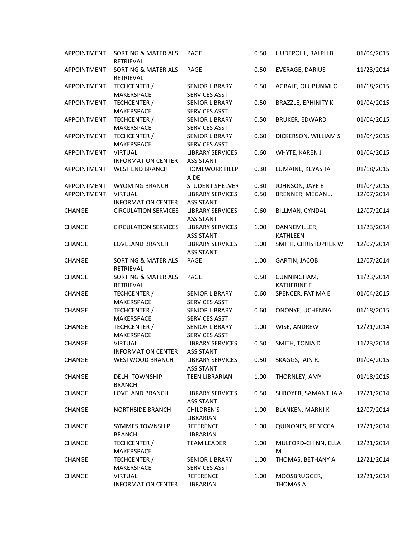| APPOINTMENT   | <b>SORTING &amp; MATERIALS</b><br><b>RETRIEVAL</b> | PAGE                                          | 0.50 | HUDEPOHL, RALPH B                 | 01/04/2015 |
|---------------|----------------------------------------------------|-----------------------------------------------|------|-----------------------------------|------------|
| APPOINTMENT   | <b>SORTING &amp; MATERIALS</b><br>RETRIEVAL        | PAGE                                          | 0.50 | EVERAGE, DARIUS                   | 11/23/2014 |
| APPOINTMENT   | TECHCENTER /<br>MAKERSPACE                         | <b>SENIOR LIBRARY</b><br>SERVICES ASST        | 0.50 | AGBAJE, OLUBUNMI O.               | 01/18/2015 |
| APPOINTMENT   | TECHCENTER /<br>MAKERSPACE                         | <b>SENIOR LIBRARY</b><br><b>SERVICES ASST</b> | 0.50 | <b>BRAZZLE, EPHINITY K</b>        | 01/04/2015 |
| APPOINTMENT   | TECHCENTER /<br>MAKERSPACE                         | <b>SENIOR LIBRARY</b><br>SERVICES ASST        | 0.50 | <b>BRUKER, EDWARD</b>             | 01/04/2015 |
| APPOINTMENT   | TECHCENTER /<br>MAKERSPACE                         | <b>SENIOR LIBRARY</b><br>SERVICES ASST        | 0.60 | DICKERSON, WILLIAM S              | 01/04/2015 |
| APPOINTMENT   | <b>VIRTUAL</b><br><b>INFORMATION CENTER</b>        | <b>LIBRARY SERVICES</b><br><b>ASSISTANT</b>   | 0.60 | WHYTE, KAREN J                    | 01/04/2015 |
| APPOINTMENT   | <b>WEST END BRANCH</b>                             | <b>HOMEWORK HELP</b><br><b>AIDE</b>           | 0.30 | LUMAINE, KEYASHA                  | 01/18/2015 |
| APPOINTMENT   | <b>WYOMING BRANCH</b>                              | <b>STUDENT SHELVER</b>                        | 0.30 | JOHNSON, JAYE E                   | 01/04/2015 |
| APPOINTMENT   | <b>VIRTUAL</b>                                     | <b>LIBRARY SERVICES</b>                       | 0.50 | BRENNER, MEGAN J.                 | 12/07/2014 |
|               | <b>INFORMATION CENTER</b>                          | <b>ASSISTANT</b>                              |      |                                   |            |
| CHANGE        | <b>CIRCULATION SERVICES</b>                        | <b>LIBRARY SERVICES</b><br><b>ASSISTANT</b>   | 0.60 | BILLMAN, CYNDAL                   | 12/07/2014 |
| CHANGE        | <b>CIRCULATION SERVICES</b>                        | <b>LIBRARY SERVICES</b><br><b>ASSISTANT</b>   | 1.00 | DANNEMILLER,<br><b>KATHLEEN</b>   | 11/23/2014 |
| CHANGE        | LOVELAND BRANCH                                    | <b>LIBRARY SERVICES</b><br><b>ASSISTANT</b>   | 1.00 | SMITH, CHRISTOPHER W              | 12/07/2014 |
| CHANGE        | <b>SORTING &amp; MATERIALS</b><br>RETRIEVAL        | PAGE                                          | 1.00 | <b>GARTIN, JACOB</b>              | 12/07/2014 |
| CHANGE        | <b>SORTING &amp; MATERIALS</b><br>RETRIEVAL        | PAGE                                          | 0.50 | CUNNINGHAM,<br><b>KATHERINE E</b> | 11/23/2014 |
| CHANGE        | TECHCENTER /<br>MAKERSPACE                         | <b>SENIOR LIBRARY</b><br>SERVICES ASST        | 0.60 | SPENCER, FATIMA E                 | 01/04/2015 |
| CHANGE        | TECHCENTER /<br>MAKERSPACE                         | <b>SENIOR LIBRARY</b><br>SERVICES ASST        | 0.60 | ONONYE, UCHENNA                   | 01/18/2015 |
| CHANGE        | TECHCENTER /<br>MAKERSPACE                         | <b>SENIOR LIBRARY</b><br>SERVICES ASST        | 1.00 | WISE, ANDREW                      | 12/21/2014 |
| CHANGE        | <b>VIRTUAL</b><br>INFORMATION CENTER               | <b>LIBRARY SERVICES</b><br>ASSISTANT          | 0.50 | SMITH, TONIA D                    | 11/23/2014 |
| CHANGE        | WESTWOOD BRANCH                                    | <b>LIBRARY SERVICES</b><br>ASSISTANT          | 0.50 | SKAGGS, IAIN R.                   | 01/04/2015 |
| CHANGE        | <b>DELHI TOWNSHIP</b><br><b>BRANCH</b>             | <b>TEEN LIBRARIAN</b>                         | 1.00 | THORNLEY, AMY                     | 01/18/2015 |
| CHANGE        | LOVELAND BRANCH                                    | <b>LIBRARY SERVICES</b><br>ASSISTANT          | 0.50 | SHROYER, SAMANTHA A.              | 12/21/2014 |
| CHANGE        | <b>NORTHSIDE BRANCH</b>                            | CHILDREN'S<br>LIBRARIAN                       | 1.00 | <b>BLANKEN, MARNIK</b>            | 12/07/2014 |
| <b>CHANGE</b> | SYMMES TOWNSHIP<br><b>BRANCH</b>                   | <b>REFERENCE</b><br>LIBRARIAN                 | 1.00 | QUINONES, REBECCA                 | 12/21/2014 |
| CHANGE        | TECHCENTER /<br>MAKERSPACE                         | <b>TEAM LEADER</b>                            | 1.00 | MULFORD-CHINN, ELLA<br>M.         | 12/21/2014 |
| CHANGE        | TECHCENTER /<br>MAKERSPACE                         | <b>SENIOR LIBRARY</b><br>SERVICES ASST        | 1.00 | THOMAS, BETHANY A                 | 12/21/2014 |
| CHANGE        | <b>VIRTUAL</b><br><b>INFORMATION CENTER</b>        | <b>REFERENCE</b><br>LIBRARIAN                 | 1.00 | MOOSBRUGGER,<br>THOMAS A          | 12/21/2014 |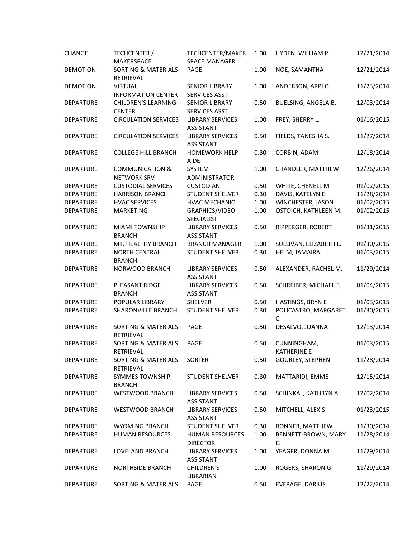| <b>CHANGE</b>    | TECHCENTER /<br>MAKERSPACE                       | TECHCENTER/MAKER<br><b>SPACE MANAGER</b>      | 1.00 | HYDEN, WILLIAM P                  | 12/21/2014 |
|------------------|--------------------------------------------------|-----------------------------------------------|------|-----------------------------------|------------|
| <b>DEMOTION</b>  | <b>SORTING &amp; MATERIALS</b><br>RETRIEVAL      | PAGE                                          | 1.00 | NOE, SAMANTHA                     | 12/21/2014 |
| <b>DEMOTION</b>  | <b>VIRTUAL</b><br><b>INFORMATION CENTER</b>      | <b>SENIOR LIBRARY</b><br><b>SERVICES ASST</b> | 1.00 | ANDERSON, ARPIC                   | 11/23/2014 |
| <b>DEPARTURE</b> | <b>CHILDREN'S LEARNING</b><br><b>CENTER</b>      | <b>SENIOR LIBRARY</b><br>SERVICES ASST        | 0.50 | BUELSING, ANGELA B.               | 12/03/2014 |
| <b>DEPARTURE</b> | <b>CIRCULATION SERVICES</b>                      | <b>LIBRARY SERVICES</b><br><b>ASSISTANT</b>   | 1.00 | FREY, SHERRY L.                   | 01/16/2015 |
| <b>DEPARTURE</b> | <b>CIRCULATION SERVICES</b>                      | <b>LIBRARY SERVICES</b><br>ASSISTANT          | 0.50 | FIELDS, TANESHA S.                | 11/27/2014 |
| <b>DEPARTURE</b> | <b>COLLEGE HILL BRANCH</b>                       | <b>HOMEWORK HELP</b><br><b>AIDE</b>           | 0.30 | CORBIN, ADAM                      | 12/18/2014 |
| <b>DEPARTURE</b> | <b>COMMUNICATION &amp;</b><br><b>NETWORK SRV</b> | SYSTEM<br>ADMINISTRATOR                       | 1.00 | CHANDLER, MATTHEW                 | 12/26/2014 |
| <b>DEPARTURE</b> | <b>CUSTODIAL SERVICES</b>                        | <b>CUSTODIAN</b>                              | 0.50 | WHITE, CHENELL M                  | 01/02/2015 |
| <b>DEPARTURE</b> | <b>HARRISON BRANCH</b>                           | <b>STUDENT SHELVER</b>                        | 0.30 | DAVIS, KATELYN E                  | 11/28/2014 |
| DEPARTURE        | <b>HVAC SERVICES</b>                             | <b>HVAC MECHANIC</b>                          | 1.00 | WINCHESTER, JASON                 | 01/02/2015 |
| <b>DEPARTURE</b> | <b>MARKETING</b>                                 | GRAPHICS/VIDEO<br>SPECIALIST                  | 1.00 | OSTOICH, KATHLEEN M.              | 01/02/2015 |
| <b>DEPARTURE</b> | <b>MIAMI TOWNSHIP</b><br><b>BRANCH</b>           | <b>LIBRARY SERVICES</b><br><b>ASSISTANT</b>   | 0.50 | RIPPERGER, ROBERT                 | 01/31/2015 |
| <b>DEPARTURE</b> | MT. HEALTHY BRANCH                               | <b>BRANCH MANAGER</b>                         | 1.00 | SULLIVAN, ELIZABETH L.            | 01/30/2015 |
| <b>DEPARTURE</b> | <b>NORTH CENTRAL</b><br><b>BRANCH</b>            | <b>STUDENT SHELVER</b>                        | 0.30 | HELM, JAMAIRA                     | 01/03/2015 |
| <b>DEPARTURE</b> | NORWOOD BRANCH                                   | <b>LIBRARY SERVICES</b><br><b>ASSISTANT</b>   | 0.50 | ALEXANDER, RACHEL M.              | 11/29/2014 |
| <b>DEPARTURE</b> | PLEASANT RIDGE<br><b>BRANCH</b>                  | <b>LIBRARY SERVICES</b><br><b>ASSISTANT</b>   | 0.50 | SCHREIBER, MICHAEL E.             | 01/04/2015 |
| <b>DEPARTURE</b> | POPULAR LIBRARY                                  | <b>SHELVER</b>                                | 0.50 | HASTINGS, BRYN E                  | 01/03/2015 |
| <b>DEPARTURE</b> | SHARONVILLE BRANCH                               | <b>STUDENT SHELVER</b>                        | 0.30 | POLICASTRO, MARGARET<br>C         | 01/30/2015 |
| <b>DEPARTURE</b> | <b>SORTING &amp; MATERIALS</b><br>RETRIEVAL      | PAGE                                          | 0.50 | DESALVO, JOANNA                   | 12/13/2014 |
| <b>DEPARTURE</b> | <b>SORTING &amp; MATERIALS</b><br>RETRIEVAL      | PAGE                                          | 0.50 | CUNNINGHAM,<br><b>KATHERINE E</b> | 01/03/2015 |
| <b>DEPARTURE</b> | SORTING & MATERIALS<br>RETRIEVAL                 | SORTER                                        | 0.50 | <b>GOURLEY, STEPHEN</b>           | 11/28/2014 |
| DEPARTURE        | <b>SYMMES TOWNSHIP</b><br><b>BRANCH</b>          | <b>STUDENT SHELVER</b>                        | 0.30 | MATTARIDI, EMME                   | 12/15/2014 |
| <b>DEPARTURE</b> | WESTWOOD BRANCH                                  | <b>LIBRARY SERVICES</b><br><b>ASSISTANT</b>   | 0.50 | SCHINKAL, KATHRYN A.              | 12/02/2014 |
| <b>DEPARTURE</b> | WESTWOOD BRANCH                                  | <b>LIBRARY SERVICES</b><br>ASSISTANT          | 0.50 | MITCHELL, ALEXIS                  | 01/23/2015 |
| <b>DEPARTURE</b> | <b>WYOMING BRANCH</b>                            | <b>STUDENT SHELVER</b>                        | 0.30 | BONNER, MATTHEW                   | 11/30/2014 |
| <b>DEPARTURE</b> | <b>HUMAN RESOURCES</b>                           | <b>HUMAN RESOURCES</b><br><b>DIRECTOR</b>     | 1.00 | BENNETT-BROWN, MARY<br>Ε.         | 11/28/2014 |
| DEPARTURE        | LOVELAND BRANCH                                  | <b>LIBRARY SERVICES</b><br><b>ASSISTANT</b>   | 1.00 | YEAGER, DONNA M.                  | 11/29/2014 |
| DEPARTURE        | <b>NORTHSIDE BRANCH</b>                          | CHILDREN'S<br>LIBRARIAN                       | 1.00 | ROGERS, SHARON G                  | 11/29/2014 |
| DEPARTURE        | <b>SORTING &amp; MATERIALS</b>                   | PAGE                                          | 0.50 | EVERAGE, DARIUS                   | 12/22/2014 |